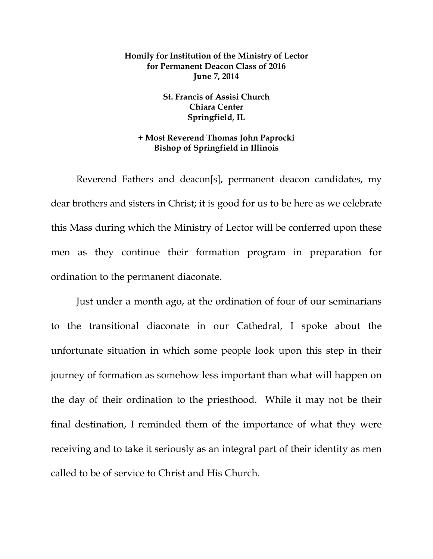## **Homily for Institution of the Ministry of Lector for Permanent Deacon Class of 2016 June 7, 2014**

**St. Francis of Assisi Church Chiara Center Springfield, IL** 

## **+ Most Reverend Thomas John Paprocki Bishop of Springfield in Illinois**

Reverend Fathers and deacon[s], permanent deacon candidates, my dear brothers and sisters in Christ; it is good for us to be here as we celebrate this Mass during which the Ministry of Lector will be conferred upon these men as they continue their formation program in preparation for ordination to the permanent diaconate.

Just under a month ago, at the ordination of four of our seminarians to the transitional diaconate in our Cathedral, I spoke about the unfortunate situation in which some people look upon this step in their journey of formation as somehow less important than what will happen on the day of their ordination to the priesthood. While it may not be their final destination, I reminded them of the importance of what they were receiving and to take it seriously as an integral part of their identity as men called to be of service to Christ and His Church.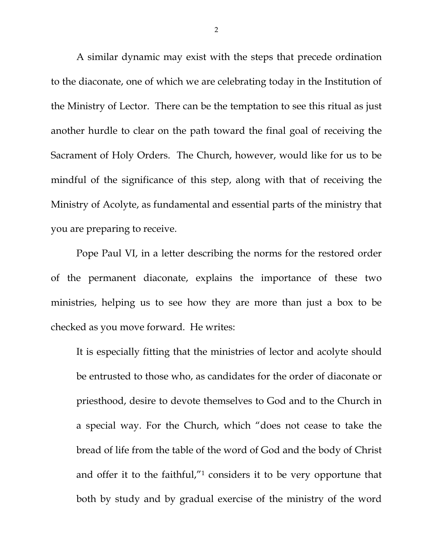A similar dynamic may exist with the steps that precede ordination to the diaconate, one of which we are celebrating today in the Institution of the Ministry of Lector. There can be the temptation to see this ritual as just another hurdle to clear on the path toward the final goal of receiving the Sacrament of Holy Orders. The Church, however, would like for us to be mindful of the significance of this step, along with that of receiving the Ministry of Acolyte, as fundamental and essential parts of the ministry that you are preparing to receive.

Pope Paul VI, in a letter describing the norms for the restored order of the permanent diaconate, explains the importance of these two ministries, helping us to see how they are more than just a box to be checked as you move forward. He writes:

It is especially fitting that the ministries of lector and acolyte should be entrusted to those who, as candidates for the order of diaconate or priesthood, desire to devote themselves to God and to the Church in a special way. For the Church, which "does not cease to take the bread of life from the table of the word of God and the body of Christ and offer it to the faithful,"1 considers it to be very opportune that both by study and by gradual exercise of the ministry of the word

2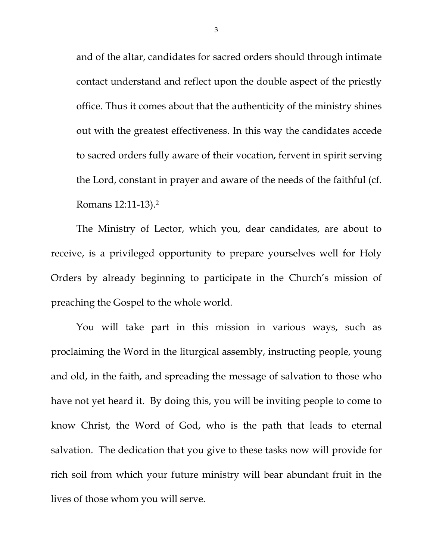and of the altar, candidates for sacred orders should through intimate contact understand and reflect upon the double aspect of the priestly office. Thus it comes about that the authenticity of the ministry shines out with the greatest effectiveness. In this way the candidates accede to sacred orders fully aware of their vocation, fervent in spirit serving the Lord, constant in prayer and aware of the needs of the faithful (cf. Romans 12:11-13).2

The Ministry of Lector, which you, dear candidates, are about to receive, is a privileged opportunity to prepare yourselves well for Holy Orders by already beginning to participate in the Church's mission of preaching the Gospel to the whole world.

You will take part in this mission in various ways, such as proclaiming the Word in the liturgical assembly, instructing people, young and old, in the faith, and spreading the message of salvation to those who have not yet heard it. By doing this, you will be inviting people to come to know Christ, the Word of God, who is the path that leads to eternal salvation. The dedication that you give to these tasks now will provide for rich soil from which your future ministry will bear abundant fruit in the lives of those whom you will serve.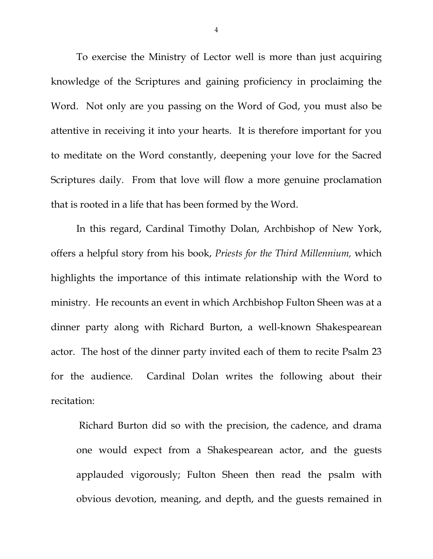To exercise the Ministry of Lector well is more than just acquiring knowledge of the Scriptures and gaining proficiency in proclaiming the Word. Not only are you passing on the Word of God, you must also be attentive in receiving it into your hearts. It is therefore important for you to meditate on the Word constantly, deepening your love for the Sacred Scriptures daily. From that love will flow a more genuine proclamation that is rooted in a life that has been formed by the Word.

In this regard, Cardinal Timothy Dolan, Archbishop of New York, offers a helpful story from his book, *Priests for the Third Millennium,* which highlights the importance of this intimate relationship with the Word to ministry. He recounts an event in which Archbishop Fulton Sheen was at a dinner party along with Richard Burton, a well-known Shakespearean actor. The host of the dinner party invited each of them to recite Psalm 23 for the audience. Cardinal Dolan writes the following about their recitation:

Richard Burton did so with the precision, the cadence, and drama one would expect from a Shakespearean actor, and the guests applauded vigorously; Fulton Sheen then read the psalm with obvious devotion, meaning, and depth, and the guests remained in

4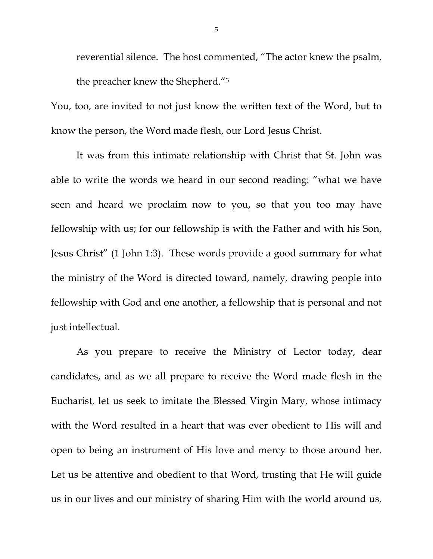reverential silence. The host commented, "The actor knew the psalm, the preacher knew the Shepherd."3

You, too, are invited to not just know the written text of the Word, but to know the person, the Word made flesh, our Lord Jesus Christ.

 It was from this intimate relationship with Christ that St. John was able to write the words we heard in our second reading: "what we have seen and heard we proclaim now to you, so that you too may have fellowship with us; for our fellowship is with the Father and with his Son, Jesus Christ" (1 John 1:3). These words provide a good summary for what the ministry of the Word is directed toward, namely, drawing people into fellowship with God and one another, a fellowship that is personal and not just intellectual.

 As you prepare to receive the Ministry of Lector today, dear candidates, and as we all prepare to receive the Word made flesh in the Eucharist, let us seek to imitate the Blessed Virgin Mary, whose intimacy with the Word resulted in a heart that was ever obedient to His will and open to being an instrument of His love and mercy to those around her. Let us be attentive and obedient to that Word, trusting that He will guide us in our lives and our ministry of sharing Him with the world around us,